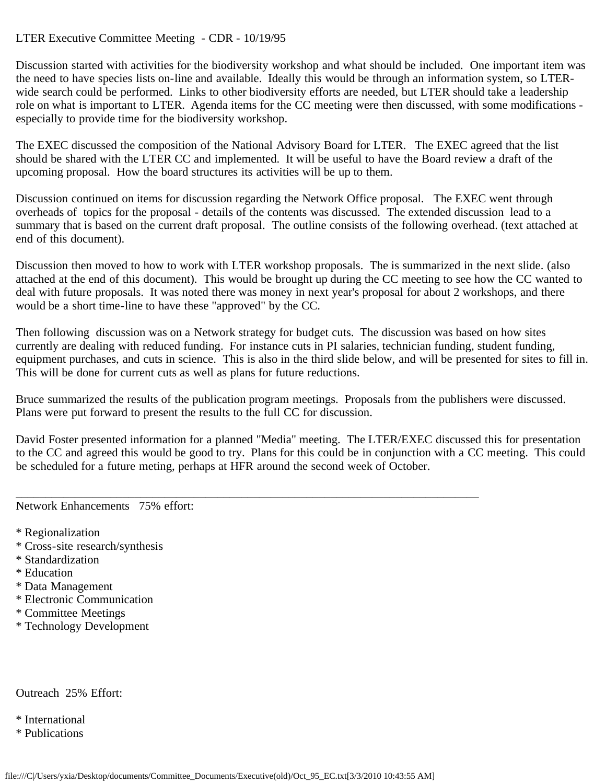## LTER Executive Committee Meeting - CDR - 10/19/95

Discussion started with activities for the biodiversity workshop and what should be included. One important item was the need to have species lists on-line and available. Ideally this would be through an information system, so LTERwide search could be performed. Links to other biodiversity efforts are needed, but LTER should take a leadership role on what is important to LTER. Agenda items for the CC meeting were then discussed, with some modifications especially to provide time for the biodiversity workshop.

The EXEC discussed the composition of the National Advisory Board for LTER. The EXEC agreed that the list should be shared with the LTER CC and implemented. It will be useful to have the Board review a draft of the upcoming proposal. How the board structures its activities will be up to them.

Discussion continued on items for discussion regarding the Network Office proposal. The EXEC went through overheads of topics for the proposal - details of the contents was discussed. The extended discussion lead to a summary that is based on the current draft proposal. The outline consists of the following overhead. (text attached at end of this document).

Discussion then moved to how to work with LTER workshop proposals. The is summarized in the next slide. (also attached at the end of this document). This would be brought up during the CC meeting to see how the CC wanted to deal with future proposals. It was noted there was money in next year's proposal for about 2 workshops, and there would be a short time-line to have these "approved" by the CC.

Then following discussion was on a Network strategy for budget cuts. The discussion was based on how sites currently are dealing with reduced funding. For instance cuts in PI salaries, technician funding, student funding, equipment purchases, and cuts in science. This is also in the third slide below, and will be presented for sites to fill in. This will be done for current cuts as well as plans for future reductions.

Bruce summarized the results of the publication program meetings. Proposals from the publishers were discussed. Plans were put forward to present the results to the full CC for discussion.

\_\_\_\_\_\_\_\_\_\_\_\_\_\_\_\_\_\_\_\_\_\_\_\_\_\_\_\_\_\_\_\_\_\_\_\_\_\_\_\_\_\_\_\_\_\_\_\_\_\_\_\_\_\_\_\_\_\_\_\_\_\_\_\_\_\_\_\_\_\_\_\_\_\_\_\_\_\_

David Foster presented information for a planned "Media" meeting. The LTER/EXEC discussed this for presentation to the CC and agreed this would be good to try. Plans for this could be in conjunction with a CC meeting. This could be scheduled for a future meting, perhaps at HFR around the second week of October.

Network Enhancements 75% effort:

- \* Regionalization
- \* Cross-site research/synthesis
- \* Standardization
- \* Education
- \* Data Management
- \* Electronic Communication
- \* Committee Meetings
- \* Technology Development

Outreach 25% Effort:

- \* International
- \* Publications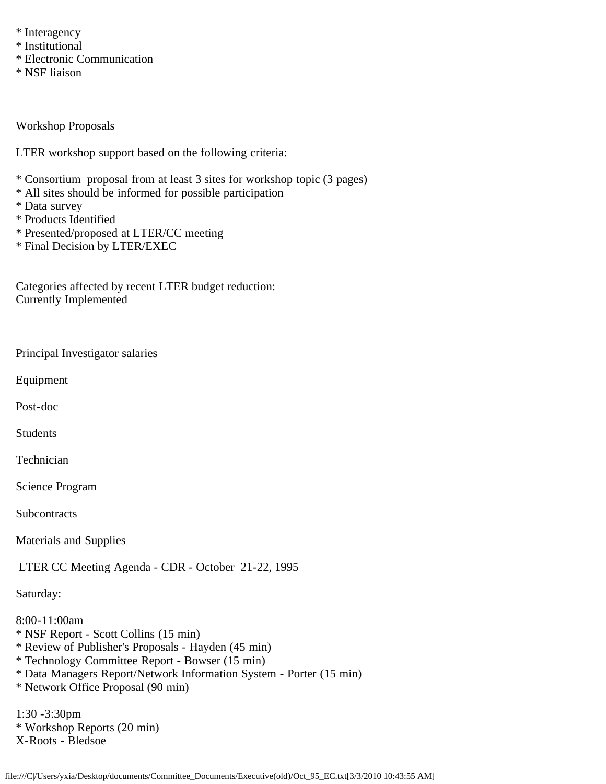- \* Interagency
- \* Institutional
- \* Electronic Communication
- \* NSF liaison

Workshop Proposals

LTER workshop support based on the following criteria:

- \* Consortium proposal from at least 3 sites for workshop topic (3 pages)
- \* All sites should be informed for possible participation
- \* Data survey
- \* Products Identified
- \* Presented/proposed at LTER/CC meeting
- \* Final Decision by LTER/EXEC

Categories affected by recent LTER budget reduction: Currently Implemented

Principal Investigator salaries

Equipment

Post-doc

Students

Technician

Science Program

**Subcontracts** 

Materials and Supplies

LTER CC Meeting Agenda - CDR - October 21-22, 1995

Saturday:

8:00-11:00am \* NSF Report - Scott Collins (15 min) \* Review of Publisher's Proposals - Hayden (45 min)

- \* Technology Committee Report Bowser (15 min)
- \* Data Managers Report/Network Information System Porter (15 min)
- \* Network Office Proposal (90 min)

1:30 -3:30pm \* Workshop Reports (20 min) X-Roots - Bledsoe